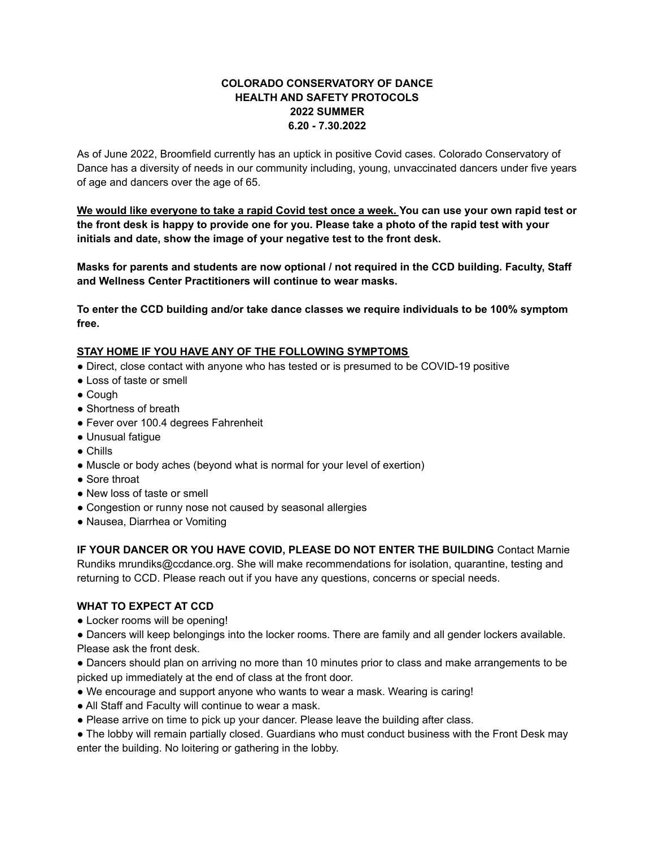## **COLORADO CONSERVATORY OF DANCE HEALTH AND SAFETY PROTOCOLS 2022 SUMMER 6.20 - 7.30.2022**

As of June 2022, Broomfield currently has an uptick in positive Covid cases. Colorado Conservatory of Dance has a diversity of needs in our community including, young, unvaccinated dancers under five years of age and dancers over the age of 65.

We would like everyone to take a rapid Covid test once a week. You can use your own rapid test or the front desk is happy to provide one for you. Please take a photo of the rapid test with your **initials and date, show the image of your negative test to the front desk.**

**Masks for parents and students are now optional / not required in the CCD building. Faculty, Staff and Wellness Center Practitioners will continue to wear masks.**

**To enter the CCD building and/or take dance classes we require individuals to be 100% symptom free.**

## **STAY HOME IF YOU HAVE ANY OF THE FOLLOWING SYMPTOMS**

- Direct, close contact with anyone who has tested or is presumed to be COVID-19 positive
- Loss of taste or smell
- Cough
- Shortness of breath
- Fever over 100.4 degrees Fahrenheit
- Unusual fatigue
- Chills
- Muscle or body aches (beyond what is normal for your level of exertion)
- Sore throat
- New loss of taste or smell
- Congestion or runny nose not caused by seasonal allergies
- Nausea, Diarrhea or Vomiting

**IF YOUR DANCER OR YOU HAVE COVID, PLEASE DO NOT ENTER THE BUILDING** Contact Marnie Rundiks mrundiks@ccdance.org. She will make recommendations for isolation, quarantine, testing and returning to CCD. Please reach out if you have any questions, concerns or special needs.

## **WHAT TO EXPECT AT CCD**

• Locker rooms will be opening!

● Dancers will keep belongings into the locker rooms. There are family and all gender lockers available. Please ask the front desk.

● Dancers should plan on arriving no more than 10 minutes prior to class and make arrangements to be picked up immediately at the end of class at the front door.

- We encourage and support anyone who wants to wear a mask. Wearing is caring!
- All Staff and Faculty will continue to wear a mask.
- Please arrive on time to pick up your dancer. Please leave the building after class.

• The lobby will remain partially closed. Guardians who must conduct business with the Front Desk may enter the building. No loitering or gathering in the lobby.